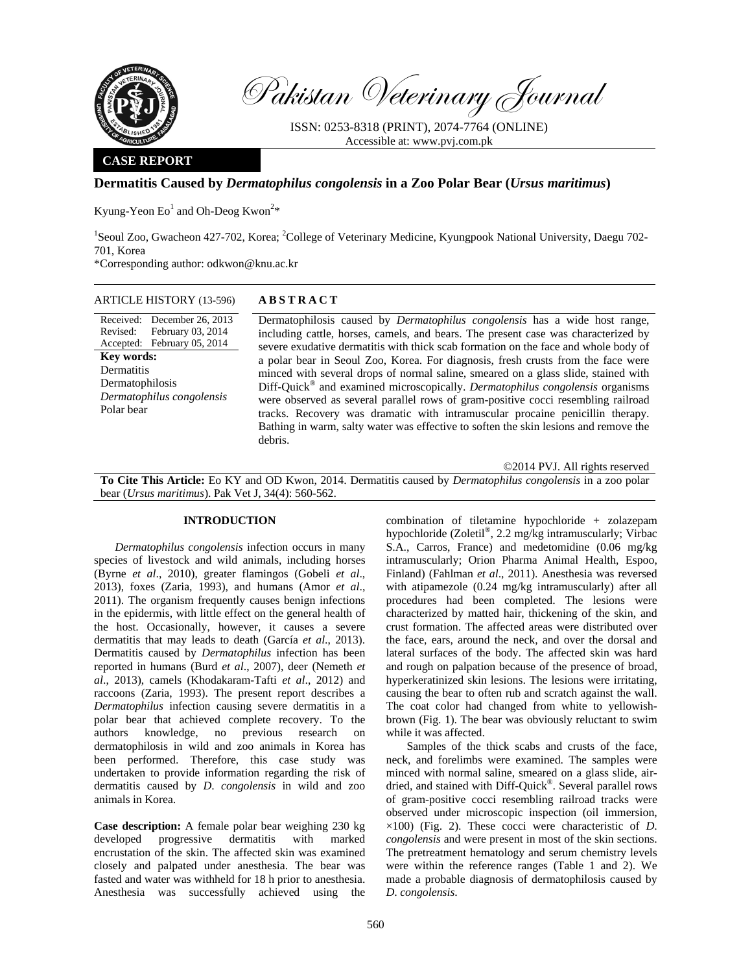

Pakistan Veterinary Journal

ISSN: 0253-8318 (PRINT), 2074-7764 (ONLINE) Accessible at: www.pvj.com.pk

### **CASE REPORT**

## **Dermatitis Caused by** *Dermatophilus congolensis* **in a Zoo Polar Bear (***Ursus maritimus***)**

Kyung-Yeon  $Eo<sup>1</sup>$  and Oh-Deog Kwon<sup>2\*</sup>

<sup>1</sup>Seoul Zoo, Gwacheon 427-702, Korea; <sup>2</sup>College of Veterinary Medicine, Kyungpook National University, Daegu 702-701, Korea

\*Corresponding author: odkwon@knu.ac.kr

| <b>ARTICLE HISTORY (13-596)</b>                                                                                                                                                              | <b>ABSTRACT</b>                                                                                                                                                                                                                                                                                                                                                                                                                                                                                                                                                                                                                                                                                                                                                                                             |
|----------------------------------------------------------------------------------------------------------------------------------------------------------------------------------------------|-------------------------------------------------------------------------------------------------------------------------------------------------------------------------------------------------------------------------------------------------------------------------------------------------------------------------------------------------------------------------------------------------------------------------------------------------------------------------------------------------------------------------------------------------------------------------------------------------------------------------------------------------------------------------------------------------------------------------------------------------------------------------------------------------------------|
| Received: December 26, 2013<br>February 03, 2014<br>Revised:<br>Accepted: February 05, 2014<br><b>Key words:</b><br>Dermatitis<br>Dermatophilosis<br>Dermatophilus congolensis<br>Polar bear | Dermatophilosis caused by <i>Dermatophilus congolensis</i> has a wide host range,<br>including cattle, horses, camels, and bears. The present case was characterized by<br>severe exudative dermatitis with thick scab formation on the face and whole body of<br>a polar bear in Seoul Zoo, Korea. For diagnosis, fresh crusts from the face were<br>minced with several drops of normal saline, smeared on a glass slide, stained with<br>$Diff-Quick®$ and examined microscopically. <i>Dermatophilus congolensis</i> organisms<br>were observed as several parallel rows of gram-positive cocci resembling railroad<br>tracks. Recovery was dramatic with intramuscular procaine penicillin therapy.<br>Bathing in warm, salty water was effective to soften the skin lesions and remove the<br>debris. |

©2014 PVJ. All rights reserved **To Cite This Article:** Eo KY and OD Kwon, 2014. Dermatitis caused by *Dermatophilus congolensis* in a zoo polar bear (*Ursus maritimus*). Pak Vet J, 34(4): 560-562.

# **INTRODUCTION**

*Dermatophilus congolensis* infection occurs in many species of livestock and wild animals, including horses (Byrne *et al*., 2010), greater flamingos (Gobeli *et al*., 2013), foxes (Zaria, 1993), and humans (Amor *et al*., 2011). The organism frequently causes benign infections in the epidermis, with little effect on the general health of the host. Occasionally, however, it causes a severe dermatitis that may leads to death (García *et al*., 2013). Dermatitis caused by *Dermatophilus* infection has been reported in humans (Burd *et al*., 2007), deer (Nemeth *et al*., 2013), camels (Khodakaram-Tafti *et al*., 2012) and raccoons (Zaria, 1993). The present report describes a *Dermatophilus* infection causing severe dermatitis in a polar bear that achieved complete recovery. To the authors knowledge, no previous research on dermatophilosis in wild and zoo animals in Korea has been performed. Therefore, this case study was undertaken to provide information regarding the risk of dermatitis caused by *D*. *congolensis* in wild and zoo animals in Korea.

**Case description:** A female polar bear weighing 230 kg developed progressive dermatitis with marked encrustation of the skin. The affected skin was examined closely and palpated under anesthesia. The bear was fasted and water was withheld for 18 h prior to anesthesia. Anesthesia was successfully achieved using the

combination of tiletamine hypochloride + zolazepam hypochloride (Zoletil®, 2.2 mg/kg intramuscularly; Virbac S.A., Carros, France) and medetomidine (0.06 mg/kg intramuscularly; Orion Pharma Animal Health, Espoo, Finland) (Fahlman *et al*., 2011). Anesthesia was reversed with atipamezole (0.24 mg/kg intramuscularly) after all procedures had been completed. The lesions were characterized by matted hair, thickening of the skin, and crust formation. The affected areas were distributed over the face, ears, around the neck, and over the dorsal and lateral surfaces of the body. The affected skin was hard and rough on palpation because of the presence of broad, hyperkeratinized skin lesions. The lesions were irritating, causing the bear to often rub and scratch against the wall. The coat color had changed from white to yellowishbrown (Fig. 1). The bear was obviously reluctant to swim while it was affected.

Samples of the thick scabs and crusts of the face, neck, and forelimbs were examined. The samples were minced with normal saline, smeared on a glass slide, airdried, and stained with Diff-Quick®. Several parallel rows of gram-positive cocci resembling railroad tracks were observed under microscopic inspection (oil immersion, ×100) (Fig. 2). These cocci were characteristic of *D*. *congolensis* and were present in most of the skin sections. The pretreatment hematology and serum chemistry levels were within the reference ranges (Table 1 and 2). We made a probable diagnosis of dermatophilosis caused by *D*. *congolensis*.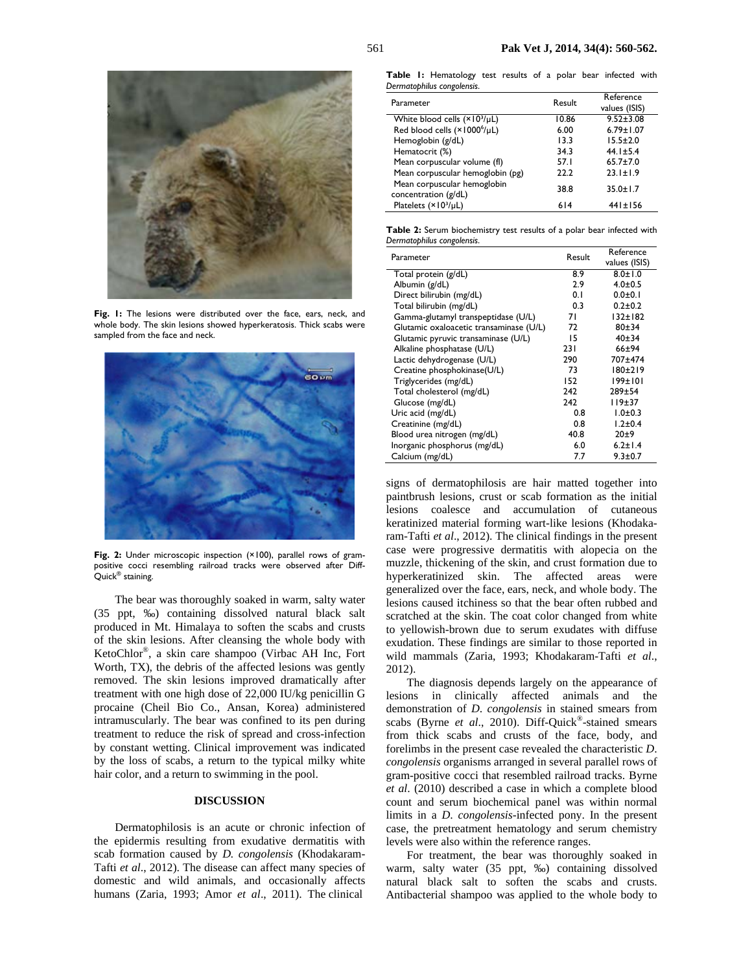

Fig. 1: The lesions were distributed over the face, ears, neck, and whole body. The skin lesions showed hyperkeratosis. Thick scabs were sampled from the face and neck.



Fig. 2: Under microscopic inspection (×100), parallel rows of grampositive cocci resembling railroad tracks were observed after Diff-Quick® staining.

The bear was thoroughly soaked in warm, salty water (35 ppt, ‰) containing dissolved natural black salt produced in Mt. Himalaya to soften the scabs and crusts of the skin lesions. After cleansing the whole body with KetoChlor®, a skin care shampoo (Virbac AH Inc, Fort Worth, TX), the debris of the affected lesions was gently removed. The skin lesions improved dramatically after treatment with one high dose of 22,000 IU/kg penicillin G procaine (Cheil Bio Co., Ansan, Korea) administered intramuscularly. The bear was confined to its pen during treatment to reduce the risk of spread and cross-infection by constant wetting. Clinical improvement was indicated by the loss of scabs, a return to the typical milky white hair color, and a return to swimming in the pool.

#### **DISCUSSION**

Dermatophilosis is an acute or chronic infection of the epidermis resulting from exudative dermatitis with scab formation caused by *D. congolensis* (Khodakaram-Tafti *et al*., 2012). The disease can affect many species of domestic and wild animals, and occasionally affects humans (Zaria, 1993; Amor *et al*., 2011). The clinical

**Table 1:** Hematology test results of a polar bear infected with *Dermatophilus congolensis*.

| Parameter                                           | Result | Reference<br>values (ISIS) |
|-----------------------------------------------------|--------|----------------------------|
| White blood cells (×103/µL)                         | 10.86  | $9.52 \pm 3.08$            |
| Red blood cells (×1000 <sup>6</sup> /µL)            | 6.00   | $6.79 \pm 1.07$            |
| Hemoglobin (g/dL)                                   | 13.3   | $15.5 \pm 2.0$             |
| Hematocrit (%)                                      | 34.3   | $44.1 \pm 5.4$             |
| Mean corpuscular volume (fl)                        | 57.1   | $65.7 \pm 7.0$             |
| Mean corpuscular hemoglobin (pg)                    | 22.2   | $23.1 \pm 1.9$             |
| Mean corpuscular hemoglobin<br>concentration (g/dL) | 38.8   | $35.0 \pm 1.7$             |
| Platelets $(x103/\mu L)$                            | 614    | $441 \pm 156$              |

**Table 2:** Serum biochemistry test results of a polar bear infected with *Dermatophilus congolensis*.

| Parameter                               | Result | Reference     |
|-----------------------------------------|--------|---------------|
|                                         |        | values (ISIS) |
| Total protein (g/dL)                    | 8.9    | $8.0 \pm 1.0$ |
| Albumin (g/dL)                          | 2.9    | $4.0 + 0.5$   |
| Direct bilirubin (mg/dL)                | 0.1    | $0.0 + 0.1$   |
| Total bilirubin (mg/dL)                 | 0.3    | $0.2 + 0.2$   |
| Gamma-glutamyl transpeptidase (U/L)     | 71     | 132±182       |
| Glutamic oxaloacetic transaminase (U/L) | 72     | $80 + 34$     |
| Glutamic pyruvic transaminase (U/L)     | 15     | 40±34         |
| Alkaline phosphatase (U/L)              | 231    | $66 + 94$     |
| Lactic dehydrogenase (U/L)              | 290    | 707±474       |
| Creatine phosphokinase(U/L)             | 73     | 180±219       |
| Triglycerides (mg/dL)                   | 152    | 199±101       |
| Total cholesterol (mg/dL)               | 242    | $289 + 54$    |
| Glucose (mg/dL)                         | 242    | 119±37        |
| Uric acid (mg/dL)                       | 0.8    | $1.0 + 0.3$   |
| Creatinine (mg/dL)                      | 0.8    | $1.2 \pm 0.4$ |
| Blood urea nitrogen (mg/dL)             | 40.8   | 20±9          |
| Inorganic phosphorus (mg/dL)            | 6.0    | $6.2 \pm 1.4$ |
| Calcium (mg/dL)                         | 7.7    | $9.3 \pm 0.7$ |

signs of dermatophilosis are hair matted together into paintbrush lesions, crust or scab formation as the initial lesions coalesce and accumulation of cutaneous keratinized material forming wart-like lesions (Khodakaram-Tafti *et al*., 2012). The clinical findings in the present case were progressive dermatitis with alopecia on the muzzle, thickening of the skin, and crust formation due to hyperkeratinized skin. The affected areas were generalized over the face, ears, neck, and whole body. The lesions caused itchiness so that the bear often rubbed and scratched at the skin. The coat color changed from white to yellowish-brown due to serum exudates with diffuse exudation. These findings are similar to those reported in wild mammals (Zaria, 1993; Khodakaram-Tafti *et al*., 2012).

The diagnosis depends largely on the appearance of lesions in clinically affected animals and the demonstration of *D*. *congolensis* in stained smears from scabs (Byrne *et al*., 2010). Diff-Quick®-stained smears from thick scabs and crusts of the face, body, and forelimbs in the present case revealed the characteristic *D*. *congolensis* organisms arranged in several parallel rows of gram-positive cocci that resembled railroad tracks. Byrne *et al*. (2010) described a case in which a complete blood count and serum biochemical panel was within normal limits in a *D*. *congolensis*-infected pony. In the present case, the pretreatment hematology and serum chemistry levels were also within the reference ranges.

For treatment, the bear was thoroughly soaked in warm, salty water (35 ppt, ‰) containing dissolved natural black salt to soften the scabs and crusts. Antibacterial shampoo was applied to the whole body to